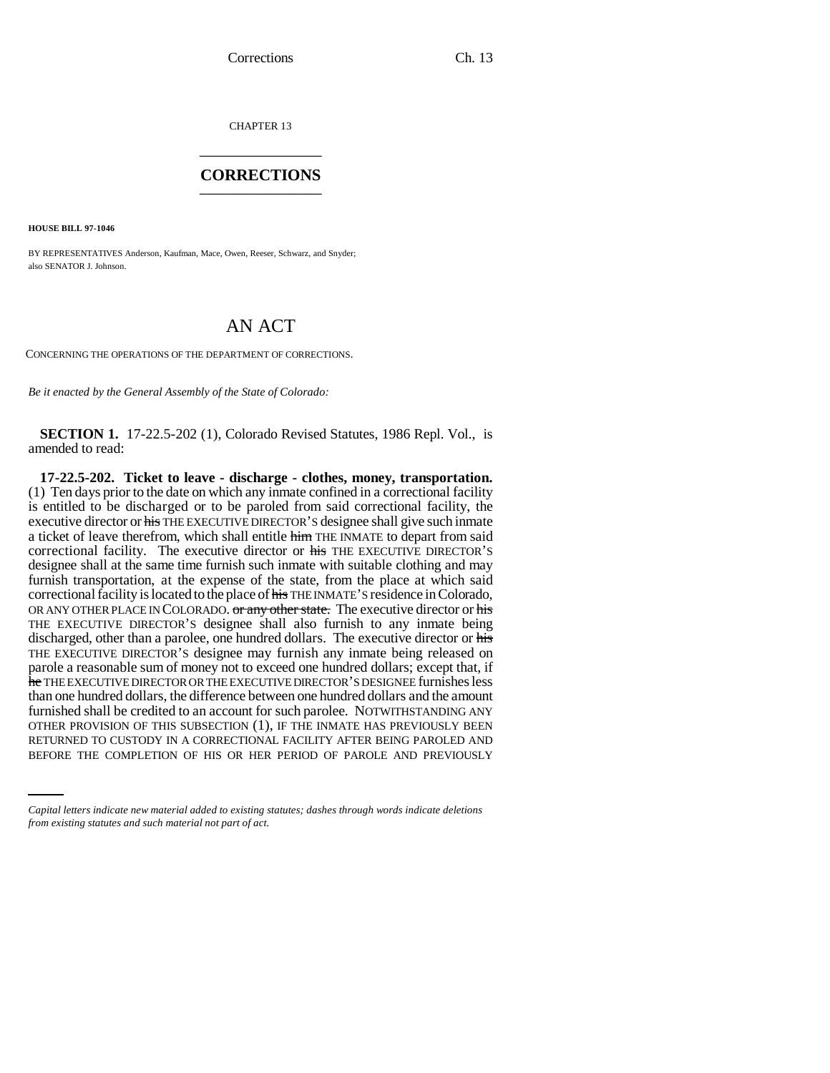CHAPTER 13 \_\_\_\_\_\_\_\_\_\_\_\_\_\_\_

## **CORRECTIONS** \_\_\_\_\_\_\_\_\_\_\_\_\_\_\_

**HOUSE BILL 97-1046**

BY REPRESENTATIVES Anderson, Kaufman, Mace, Owen, Reeser, Schwarz, and Snyder; also SENATOR J. Johnson.

# AN ACT

CONCERNING THE OPERATIONS OF THE DEPARTMENT OF CORRECTIONS.

*Be it enacted by the General Assembly of the State of Colorado:*

**SECTION 1.** 17-22.5-202 (1), Colorado Revised Statutes, 1986 Repl. Vol., is amended to read:

OTHER PROVISION OF THIS SUBSECTION (1), IF THE INMATE HAS PREVIOUSLY BEEN **17-22.5-202. Ticket to leave - discharge - clothes, money, transportation.** (1) Ten days prior to the date on which any inmate confined in a correctional facility is entitled to be discharged or to be paroled from said correctional facility, the executive director or his THE EXECUTIVE DIRECTOR'S designee shall give such inmate a ticket of leave therefrom, which shall entitle him THE INMATE to depart from said correctional facility. The executive director or his THE EXECUTIVE DIRECTOR'S designee shall at the same time furnish such inmate with suitable clothing and may furnish transportation, at the expense of the state, from the place at which said correctional facility is located to the place of his THE INMATE'S residence in Colorado, OR ANY OTHER PLACE IN COLORADO. or any other state. The executive director or his THE EXECUTIVE DIRECTOR'S designee shall also furnish to any inmate being discharged, other than a parolee, one hundred dollars. The executive director or his THE EXECUTIVE DIRECTOR'S designee may furnish any inmate being released on parole a reasonable sum of money not to exceed one hundred dollars; except that, if he THE EXECUTIVE DIRECTOR OR THE EXECUTIVE DIRECTOR'S DESIGNEE furnishes less than one hundred dollars, the difference between one hundred dollars and the amount furnished shall be credited to an account for such parolee. NOTWITHSTANDING ANY RETURNED TO CUSTODY IN A CORRECTIONAL FACILITY AFTER BEING PAROLED AND BEFORE THE COMPLETION OF HIS OR HER PERIOD OF PAROLE AND PREVIOUSLY

*Capital letters indicate new material added to existing statutes; dashes through words indicate deletions from existing statutes and such material not part of act.*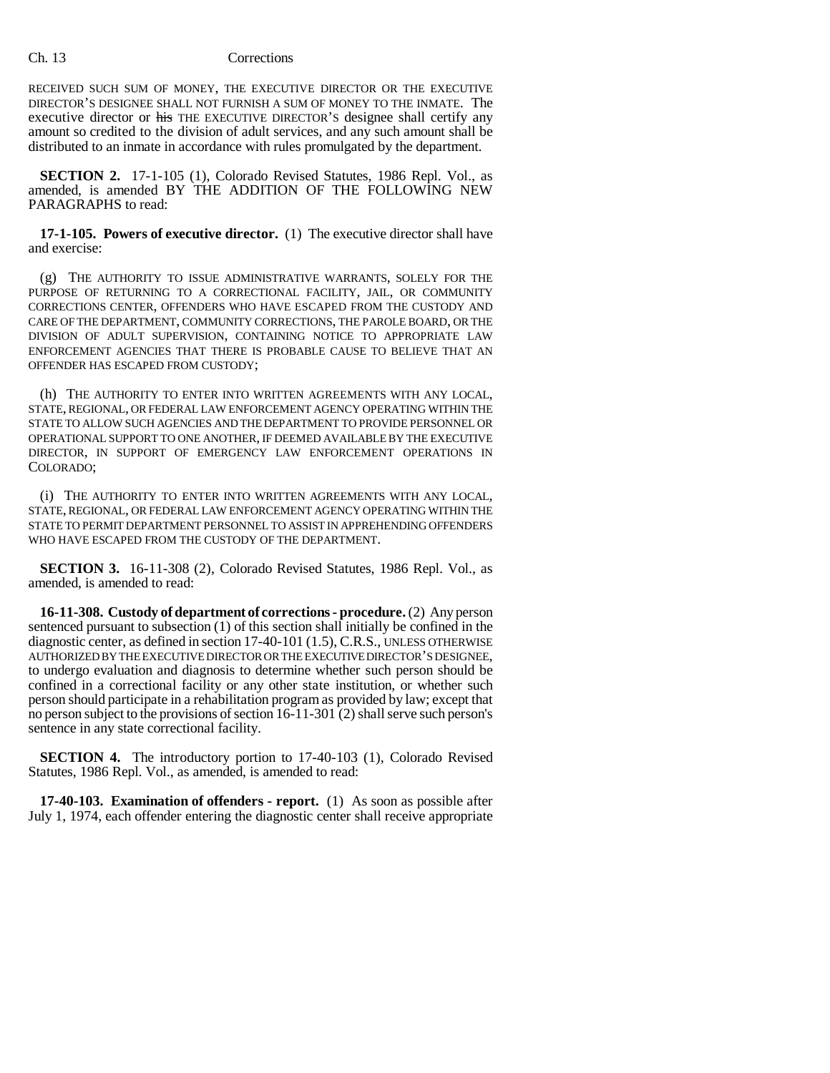#### Ch. 13 Corrections

RECEIVED SUCH SUM OF MONEY, THE EXECUTIVE DIRECTOR OR THE EXECUTIVE DIRECTOR'S DESIGNEE SHALL NOT FURNISH A SUM OF MONEY TO THE INMATE. The executive director or his THE EXECUTIVE DIRECTOR'S designee shall certify any amount so credited to the division of adult services, and any such amount shall be distributed to an inmate in accordance with rules promulgated by the department.

**SECTION 2.** 17-1-105 (1), Colorado Revised Statutes, 1986 Repl. Vol., as amended, is amended BY THE ADDITION OF THE FOLLOWING NEW PARAGRAPHS to read:

**17-1-105. Powers of executive director.** (1) The executive director shall have and exercise:

(g) THE AUTHORITY TO ISSUE ADMINISTRATIVE WARRANTS, SOLELY FOR THE PURPOSE OF RETURNING TO A CORRECTIONAL FACILITY, JAIL, OR COMMUNITY CORRECTIONS CENTER, OFFENDERS WHO HAVE ESCAPED FROM THE CUSTODY AND CARE OF THE DEPARTMENT, COMMUNITY CORRECTIONS, THE PAROLE BOARD, OR THE DIVISION OF ADULT SUPERVISION, CONTAINING NOTICE TO APPROPRIATE LAW ENFORCEMENT AGENCIES THAT THERE IS PROBABLE CAUSE TO BELIEVE THAT AN OFFENDER HAS ESCAPED FROM CUSTODY;

(h) THE AUTHORITY TO ENTER INTO WRITTEN AGREEMENTS WITH ANY LOCAL, STATE, REGIONAL, OR FEDERAL LAW ENFORCEMENT AGENCY OPERATING WITHIN THE STATE TO ALLOW SUCH AGENCIES AND THE DEPARTMENT TO PROVIDE PERSONNEL OR OPERATIONAL SUPPORT TO ONE ANOTHER, IF DEEMED AVAILABLE BY THE EXECUTIVE DIRECTOR, IN SUPPORT OF EMERGENCY LAW ENFORCEMENT OPERATIONS IN COLORADO;

(i) THE AUTHORITY TO ENTER INTO WRITTEN AGREEMENTS WITH ANY LOCAL, STATE, REGIONAL, OR FEDERAL LAW ENFORCEMENT AGENCY OPERATING WITHIN THE STATE TO PERMIT DEPARTMENT PERSONNEL TO ASSIST IN APPREHENDING OFFENDERS WHO HAVE ESCAPED FROM THE CUSTODY OF THE DEPARTMENT.

**SECTION 3.** 16-11-308 (2), Colorado Revised Statutes, 1986 Repl. Vol., as amended, is amended to read:

**16-11-308. Custody of department of corrections - procedure.** (2) Any person sentenced pursuant to subsection (1) of this section shall initially be confined in the diagnostic center, as defined in section 17-40-101 (1.5), C.R.S., UNLESS OTHERWISE AUTHORIZED BY THE EXECUTIVE DIRECTOR OR THE EXECUTIVE DIRECTOR'S DESIGNEE, to undergo evaluation and diagnosis to determine whether such person should be confined in a correctional facility or any other state institution, or whether such person should participate in a rehabilitation program as provided by law; except that no person subject to the provisions of section 16-11-301 (2) shall serve such person's sentence in any state correctional facility.

**SECTION 4.** The introductory portion to 17-40-103 (1), Colorado Revised Statutes, 1986 Repl. Vol., as amended, is amended to read:

**17-40-103. Examination of offenders - report.** (1) As soon as possible after July 1, 1974, each offender entering the diagnostic center shall receive appropriate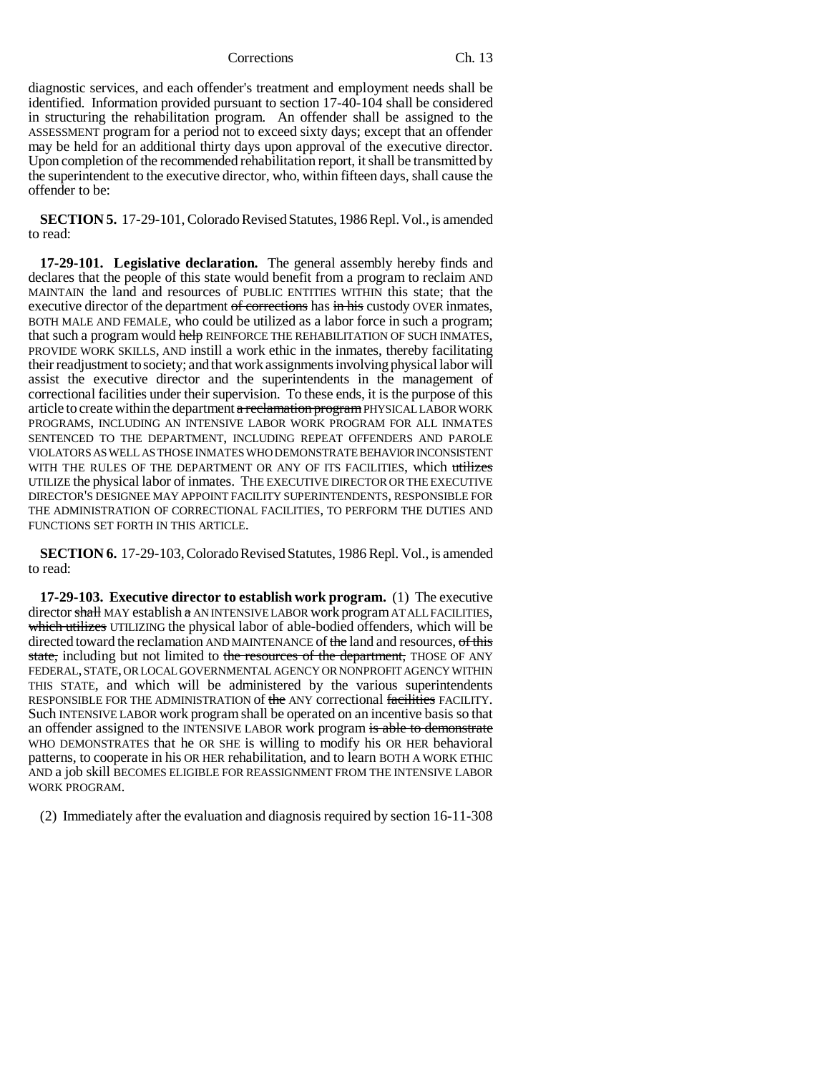#### Corrections Ch. 13

diagnostic services, and each offender's treatment and employment needs shall be identified. Information provided pursuant to section 17-40-104 shall be considered in structuring the rehabilitation program. An offender shall be assigned to the ASSESSMENT program for a period not to exceed sixty days; except that an offender may be held for an additional thirty days upon approval of the executive director. Upon completion of the recommended rehabilitation report, it shall be transmitted by the superintendent to the executive director, who, within fifteen days, shall cause the offender to be:

**SECTION 5.** 17-29-101, Colorado Revised Statutes, 1986 Repl. Vol., is amended to read:

**17-29-101. Legislative declaration.** The general assembly hereby finds and declares that the people of this state would benefit from a program to reclaim AND MAINTAIN the land and resources of PUBLIC ENTITIES WITHIN this state; that the executive director of the department of corrections has in his custody OVER inmates, BOTH MALE AND FEMALE, who could be utilized as a labor force in such a program; that such a program would help REINFORCE THE REHABILITATION OF SUCH INMATES, PROVIDE WORK SKILLS, AND instill a work ethic in the inmates, thereby facilitating their readjustment to society; and that work assignments involving physical labor will assist the executive director and the superintendents in the management of correctional facilities under their supervision. To these ends, it is the purpose of this article to create within the department a reclamation program PHYSICAL LABOR WORK PROGRAMS, INCLUDING AN INTENSIVE LABOR WORK PROGRAM FOR ALL INMATES SENTENCED TO THE DEPARTMENT, INCLUDING REPEAT OFFENDERS AND PAROLE VIOLATORS AS WELL AS THOSE INMATES WHO DEMONSTRATE BEHAVIOR INCONSISTENT WITH THE RULES OF THE DEPARTMENT OR ANY OF ITS FACILITIES, which utilizes UTILIZE the physical labor of inmates. THE EXECUTIVE DIRECTOR OR THE EXECUTIVE DIRECTOR'S DESIGNEE MAY APPOINT FACILITY SUPERINTENDENTS, RESPONSIBLE FOR THE ADMINISTRATION OF CORRECTIONAL FACILITIES, TO PERFORM THE DUTIES AND FUNCTIONS SET FORTH IN THIS ARTICLE.

**SECTION 6.** 17-29-103, Colorado Revised Statutes, 1986 Repl. Vol., is amended to read:

**17-29-103. Executive director to establish work program.** (1) The executive director shall MAY establish a AN INTENSIVE LABOR work program AT ALL FACILITIES, which utilizes UTILIZING the physical labor of able-bodied offenders, which will be directed toward the reclamation AND MAINTENANCE of the land and resources, of this state, including but not limited to the resources of the department, THOSE OF ANY FEDERAL, STATE, OR LOCAL GOVERNMENTAL AGENCY OR NONPROFIT AGENCY WITHIN THIS STATE, and which will be administered by the various superintendents RESPONSIBLE FOR THE ADMINISTRATION of the ANY correctional facilities FACILITY. Such INTENSIVE LABOR work program shall be operated on an incentive basis so that an offender assigned to the INTENSIVE LABOR work program is able to demonstrate WHO DEMONSTRATES that he OR SHE is willing to modify his OR HER behavioral patterns, to cooperate in his OR HER rehabilitation, and to learn BOTH A WORK ETHIC AND a job skill BECOMES ELIGIBLE FOR REASSIGNMENT FROM THE INTENSIVE LABOR WORK PROGRAM.

(2) Immediately after the evaluation and diagnosis required by section 16-11-308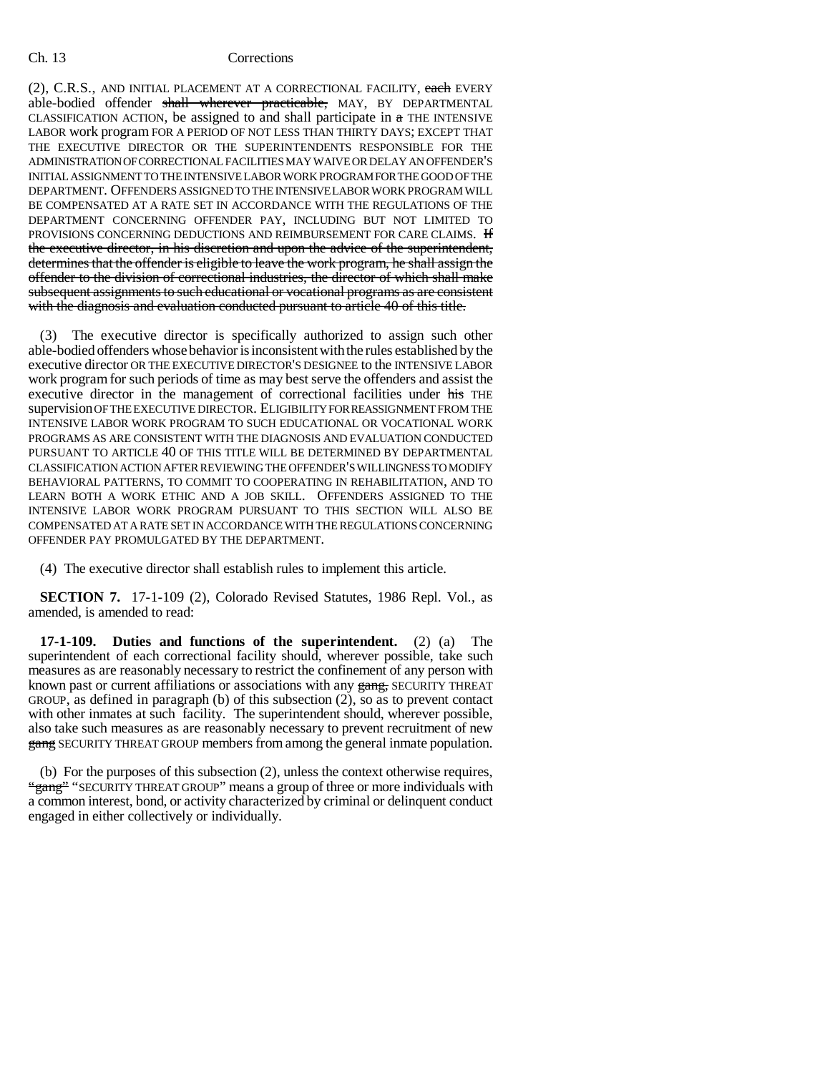### Ch. 13 Corrections

(2), C.R.S., AND INITIAL PLACEMENT AT A CORRECTIONAL FACILITY, each EVERY able-bodied offender shall wherever practicable, MAY, BY DEPARTMENTAL CLASSIFICATION ACTION, be assigned to and shall participate in  $\pi$  THE INTENSIVE LABOR work program FOR A PERIOD OF NOT LESS THAN THIRTY DAYS; EXCEPT THAT THE EXECUTIVE DIRECTOR OR THE SUPERINTENDENTS RESPONSIBLE FOR THE ADMINISTRATION OF CORRECTIONAL FACILITIES MAY WAIVE OR DELAY AN OFFENDER'S INITIAL ASSIGNMENT TO THE INTENSIVE LABOR WORK PROGRAM FOR THE GOOD OF THE DEPARTMENT. OFFENDERS ASSIGNED TO THE INTENSIVE LABOR WORK PROGRAM WILL BE COMPENSATED AT A RATE SET IN ACCORDANCE WITH THE REGULATIONS OF THE DEPARTMENT CONCERNING OFFENDER PAY, INCLUDING BUT NOT LIMITED TO PROVISIONS CONCERNING DEDUCTIONS AND REIMBURSEMENT FOR CARE CLAIMS. **If** the executive director, in his discretion and upon the advice of the superintendent, determines that the offender is eligible to leave the work program, he shall assign the offender to the division of correctional industries, the director of which shall make subsequent assignments to such educational or vocational programs as are consistent with the diagnosis and evaluation conducted pursuant to article 40 of this title.

(3) The executive director is specifically authorized to assign such other able-bodied offenders whose behavior is inconsistent with the rules established by the executive director OR THE EXECUTIVE DIRECTOR'S DESIGNEE to the INTENSIVE LABOR work program for such periods of time as may best serve the offenders and assist the executive director in the management of correctional facilities under his THE supervision OF THE EXECUTIVE DIRECTOR. ELIGIBILITY FOR REASSIGNMENT FROM THE INTENSIVE LABOR WORK PROGRAM TO SUCH EDUCATIONAL OR VOCATIONAL WORK PROGRAMS AS ARE CONSISTENT WITH THE DIAGNOSIS AND EVALUATION CONDUCTED PURSUANT TO ARTICLE 40 OF THIS TITLE WILL BE DETERMINED BY DEPARTMENTAL CLASSIFICATION ACTION AFTER REVIEWING THE OFFENDER'S WILLINGNESS TO MODIFY BEHAVIORAL PATTERNS, TO COMMIT TO COOPERATING IN REHABILITATION, AND TO LEARN BOTH A WORK ETHIC AND A JOB SKILL. OFFENDERS ASSIGNED TO THE INTENSIVE LABOR WORK PROGRAM PURSUANT TO THIS SECTION WILL ALSO BE COMPENSATED AT A RATE SET IN ACCORDANCE WITH THE REGULATIONS CONCERNING OFFENDER PAY PROMULGATED BY THE DEPARTMENT.

(4) The executive director shall establish rules to implement this article.

**SECTION 7.** 17-1-109 (2), Colorado Revised Statutes, 1986 Repl. Vol., as amended, is amended to read:

**17-1-109. Duties and functions of the superintendent.** (2) (a) The superintendent of each correctional facility should, wherever possible, take such measures as are reasonably necessary to restrict the confinement of any person with known past or current affiliations or associations with any gang, SECURITY THREAT GROUP, as defined in paragraph (b) of this subsection (2), so as to prevent contact with other inmates at such facility. The superintendent should, wherever possible, also take such measures as are reasonably necessary to prevent recruitment of new gang SECURITY THREAT GROUP members from among the general inmate population.

(b) For the purposes of this subsection (2), unless the context otherwise requires, "gang" "SECURITY THREAT GROUP" means a group of three or more individuals with a common interest, bond, or activity characterized by criminal or delinquent conduct engaged in either collectively or individually.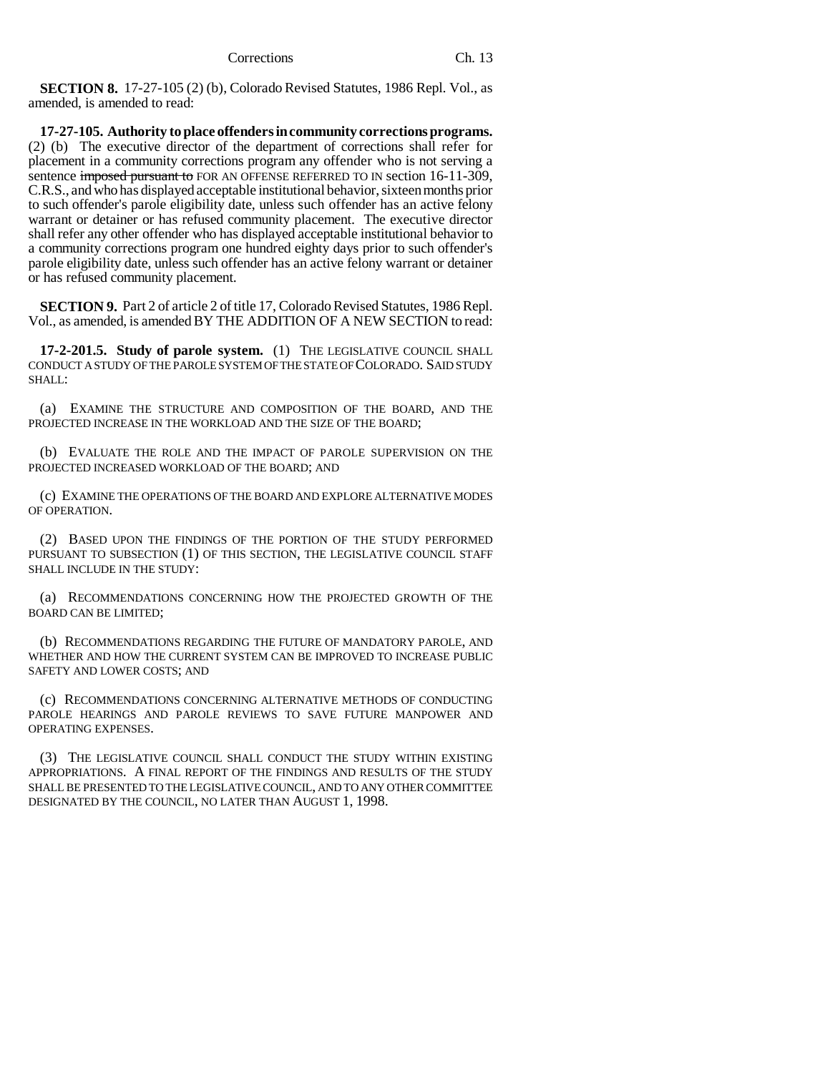**SECTION 8.** 17-27-105 (2) (b), Colorado Revised Statutes, 1986 Repl. Vol., as amended, is amended to read:

**17-27-105. Authority to place offenders in community corrections programs.** (2) (b) The executive director of the department of corrections shall refer for placement in a community corrections program any offender who is not serving a sentence imposed pursuant to FOR AN OFFENSE REFERRED TO IN section 16-11-309, C.R.S., and who has displayed acceptable institutional behavior, sixteen months prior to such offender's parole eligibility date, unless such offender has an active felony warrant or detainer or has refused community placement. The executive director shall refer any other offender who has displayed acceptable institutional behavior to a community corrections program one hundred eighty days prior to such offender's parole eligibility date, unless such offender has an active felony warrant or detainer or has refused community placement.

**SECTION 9.** Part 2 of article 2 of title 17, Colorado Revised Statutes, 1986 Repl. Vol., as amended, is amended BY THE ADDITION OF A NEW SECTION to read:

**17-2-201.5. Study of parole system.** (1) THE LEGISLATIVE COUNCIL SHALL CONDUCT A STUDY OF THE PAROLE SYSTEM OF THE STATE OF COLORADO. SAID STUDY SHALL:

(a) EXAMINE THE STRUCTURE AND COMPOSITION OF THE BOARD, AND THE PROJECTED INCREASE IN THE WORKLOAD AND THE SIZE OF THE BOARD;

(b) EVALUATE THE ROLE AND THE IMPACT OF PAROLE SUPERVISION ON THE PROJECTED INCREASED WORKLOAD OF THE BOARD; AND

(c) EXAMINE THE OPERATIONS OF THE BOARD AND EXPLORE ALTERNATIVE MODES OF OPERATION.

(2) BASED UPON THE FINDINGS OF THE PORTION OF THE STUDY PERFORMED PURSUANT TO SUBSECTION (1) OF THIS SECTION, THE LEGISLATIVE COUNCIL STAFF SHALL INCLUDE IN THE STUDY:

(a) RECOMMENDATIONS CONCERNING HOW THE PROJECTED GROWTH OF THE BOARD CAN BE LIMITED;

(b) RECOMMENDATIONS REGARDING THE FUTURE OF MANDATORY PAROLE, AND WHETHER AND HOW THE CURRENT SYSTEM CAN BE IMPROVED TO INCREASE PUBLIC SAFETY AND LOWER COSTS; AND

(c) RECOMMENDATIONS CONCERNING ALTERNATIVE METHODS OF CONDUCTING PAROLE HEARINGS AND PAROLE REVIEWS TO SAVE FUTURE MANPOWER AND OPERATING EXPENSES.

(3) THE LEGISLATIVE COUNCIL SHALL CONDUCT THE STUDY WITHIN EXISTING APPROPRIATIONS. A FINAL REPORT OF THE FINDINGS AND RESULTS OF THE STUDY SHALL BE PRESENTED TO THE LEGISLATIVE COUNCIL, AND TO ANY OTHER COMMITTEE DESIGNATED BY THE COUNCIL, NO LATER THAN AUGUST 1, 1998.